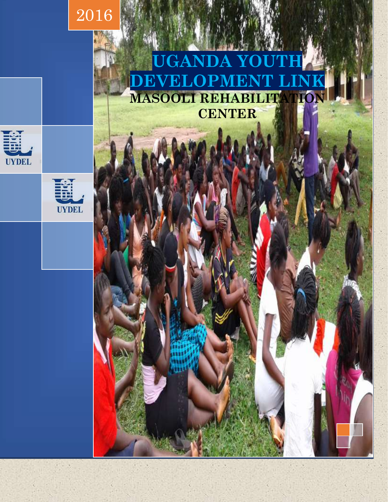

# **UGANDA Y DEVELOPMENT LINK MASOOLI REHABILITATIO CENTER**



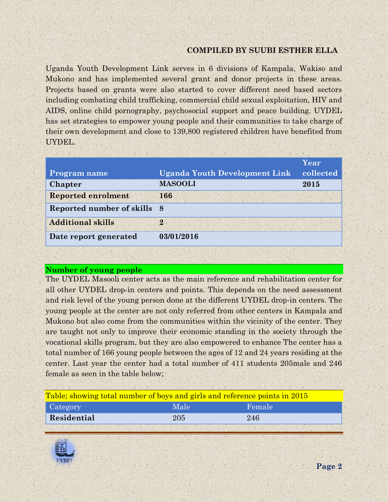### **COMPILED BY SUUBI ESTHER ELLA**

Uganda Youth Development Link serves in 6 divisions of Kampala, Wakiso and Mukono and has implemented several grant and donor projects in these areas. Projects based on grants were also started to cover different need based sectors including combating child trafficking, commercial child sexual exploitation, HIV and AIDS, online child pornography, psychosocial support and peace building. UYDEL has set strategies to empower young people and their communities to take charge of their own development and close to 139,800 registered children have benefited from UYDEL.

|                           |                                      | Year      |
|---------------------------|--------------------------------------|-----------|
| <b>Program name</b>       | <b>Uganda Youth Development Link</b> | collected |
| Chapter                   | <b>MASOOLI</b>                       | 2015      |
| <b>Reported enrolment</b> | 166                                  |           |
| Reported number of skills | - 8                                  |           |
| <b>Additional skills</b>  | 9.                                   |           |
| Date report generated     | 03/01/2016                           |           |

#### **Number of young people**

The UYDEL Masooli center acts as the main reference and rehabilitation center for all other UYDEL drop-in centers and points. This depends on the need assessment and risk level of the young person done at the different UYDEL drop-in centers. The young people at the center are not only referred from other centers in Kampala and Mukono but also come from the communities within the vicinity of the center. They are taught not only to improve their economic standing in the society through the vocational skills program, but they are also empowered to enhance The center has a total number of 166 young people between the ages of 12 and 24 years residing at the center. Last year the center had a total number of 411 students 205male and 246 female as seen in the table below;

| Table; showing total number of boys and girls and reference points in 2015 |      |        |  |
|----------------------------------------------------------------------------|------|--------|--|
| Category                                                                   | Male | Female |  |
| Residential                                                                | 205  | 246    |  |
|                                                                            |      |        |  |

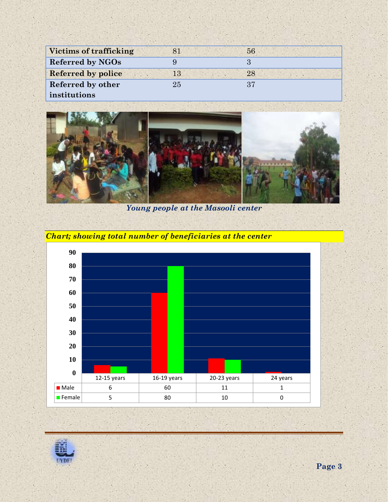| <b>Victims of trafficking</b> |        | 56 |
|-------------------------------|--------|----|
| Referred by NGOs              |        |    |
| <b>Referred by police</b>     | 13     | 28 |
| Referred by other             | $25\,$ | 37 |
| institutions                  |        |    |



*Young people at the Masooli center*



## *Chart; showing total number of beneficiaries at the center*

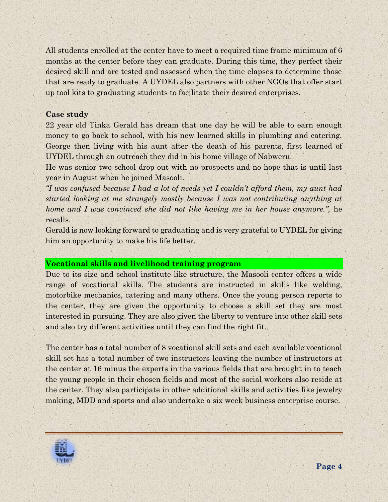All students enrolled at the center have to meet a required time frame minimum of 6 months at the center before they can graduate. During this time, they perfect their desired skill and are tested and assessed when the time elapses to determine those that are ready to graduate. A UYDEL also partners with other NGOs that offer start up tool kits to graduating students to facilitate their desired enterprises.

#### **Case study**

22 year old Tinka Gerald has dream that one day he will be able to earn enough money to go back to school, with his new learned skills in plumbing and catering. George then living with his aunt after the death of his parents, first learned of UYDEL through an outreach they did in his home village of Nabweru.

He was senior two school drop out with no prospects and no hope that is until last year in August when he joined Masooli.

*"I was confused because I had a lot of needs yet I couldn't afford them, my aunt had started looking at me strangely mostly because I was not contributing anything at home and I was convinced she did not like having me in her house anymore.*", he recalls.

Gerald is now looking forward to graduating and is very grateful to UYDEL for giving him an opportunity to make his life better.

#### **Vocational skills and livelihood training program**

Due to its size and school institute like structure, the Masooli center offers a wide range of vocational skills. The students are instructed in skills like welding, motorbike mechanics, catering and many others. Once the young person reports to the center, they are given the opportunity to choose a skill set they are most interested in pursuing. They are also given the liberty to venture into other skill sets and also try different activities until they can find the right fit.

The center has a total number of 8 vocational skill sets and each available vocational skill set has a total number of two instructors leaving the number of instructors at the center at 16 minus the experts in the various fields that are brought in to teach the young people in their chosen fields and most of the social workers also reside at the center. They also participate in other additional skills and activities like jewelry making, MDD and sports and also undertake a six week business enterprise course.

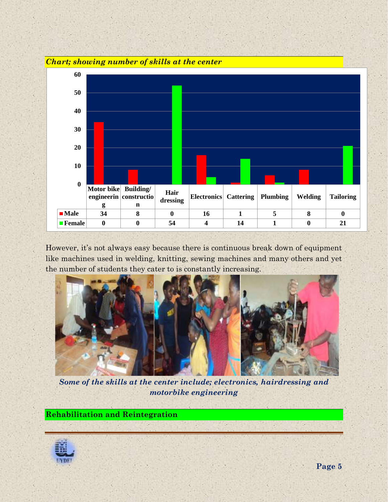

However, it's not always easy because there is continuous break down of equipment like machines used in welding, knitting, sewing machines and many others and yet the number of students they cater to is constantly increasing.



*Some of the skills at the center include; electronics, hairdressing and motorbike engineering*

**Rehabilitation and Reintegration**

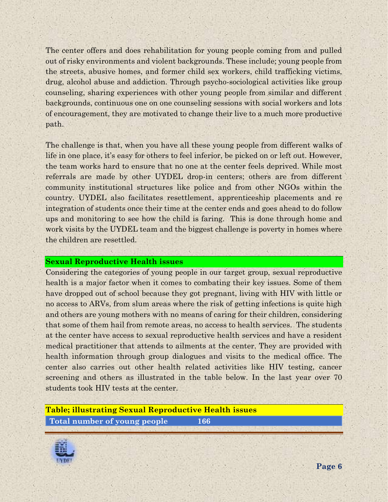The center offers and does rehabilitation for young people coming from and pulled out of risky environments and violent backgrounds. These include; young people from the streets, abusive homes, and former child sex workers, child trafficking victims, drug, alcohol abuse and addiction. Through psycho-sociological activities like group counseling, sharing experiences with other young people from similar and different backgrounds, continuous one on one counseling sessions with social workers and lots of encouragement, they are motivated to change their live to a much more productive path.

The challenge is that, when you have all these young people from different walks of life in one place, it's easy for others to feel inferior, be picked on or left out. However, the team works hard to ensure that no one at the center feels deprived. While most referrals are made by other UYDEL drop-in centers; others are from different community institutional structures like police and from other NGOs within the country. UYDEL also facilitates resettlement, apprenticeship placements and re integration of students once their time at the center ends and goes ahead to do follow ups and monitoring to see how the child is faring. This is done through home and work visits by the UYDEL team and the biggest challenge is poverty in homes where the children are resettled.

#### **Sexual Reproductive Health issues**

Considering the categories of young people in our target group, sexual reproductive health is a major factor when it comes to combating their key issues. Some of them have dropped out of school because they got pregnant, living with HIV with little or no access to ARVs, from slum areas where the risk of getting infections is quite high and others are young mothers with no means of caring for their children, considering that some of them hail from remote areas, no access to health services. The students at the center have access to sexual reproductive health services and have a resident medical practitioner that attends to ailments at the center. They are provided with health information through group dialogues and visits to the medical office. The center also carries out other health related activities like HIV testing, cancer screening and others as illustrated in the table below. In the last year over 70 students took HIV tests at the center.

**Table; illustrating Sexual Reproductive Health issues Total number of young people 166**

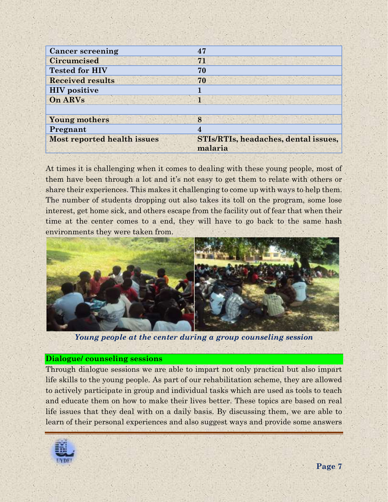| <b>Cancer screening</b>            | 47                                              |
|------------------------------------|-------------------------------------------------|
| <b>Circumcised</b>                 | 71                                              |
| <b>Tested for HIV</b>              | 70                                              |
| <b>Received results</b>            | 70                                              |
| <b>HIV</b> positive                |                                                 |
| On ARVs                            |                                                 |
|                                    |                                                 |
| <b>Young mothers</b>               | 8                                               |
| Pregnant                           | 4                                               |
| <b>Most reported health issues</b> | STIs/RTIs, headaches, dental issues,<br>malaria |
|                                    |                                                 |

At times it is challenging when it comes to dealing with these young people, most of them have been through a lot and it's not easy to get them to relate with others or share their experiences. This makes it challenging to come up with ways to help them. The number of students dropping out also takes its toll on the program, some lose interest, get home sick, and others escape from the facility out of fear that when their time at the center comes to a end, they will have to go back to the same hash environments they were taken from.



*Young people at the center during a group counseling session*

#### **Dialogue/ counseling sessions**

Through dialogue sessions we are able to impart not only practical but also impart life skills to the young people. As part of our rehabilitation scheme, they are allowed to actively participate in group and individual tasks which are used as tools to teach and educate them on how to make their lives better. These topics are based on real life issues that they deal with on a daily basis. By discussing them, we are able to learn of their personal experiences and also suggest ways and provide some answers

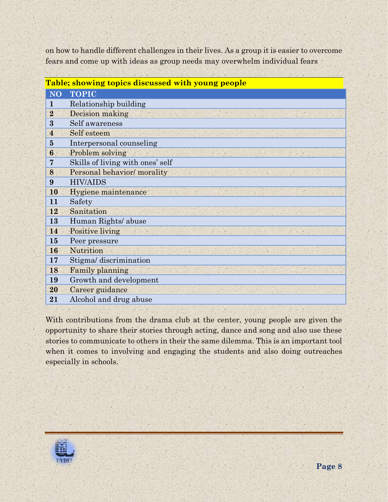on how to handle different challenges in their lives. As a group it is easier to overcome fears and come up with ideas as group needs may overwhelm individual fears

| Table; showing topics discussed with young people |                                  |  |
|---------------------------------------------------|----------------------------------|--|
| <b>NO</b>                                         | <b>TOPIC</b>                     |  |
| 1                                                 | Relationship building            |  |
| $\overline{2}$                                    | Decision making                  |  |
| 3                                                 | Self awareness                   |  |
| $\overline{4}$                                    | Self esteem                      |  |
| $\overline{5}$                                    | Interpersonal counseling         |  |
| 6                                                 | Problem solving                  |  |
| 7                                                 | Skills of living with ones' self |  |
| 8                                                 | Personal behavior/ morality      |  |
| 9                                                 | <b>HIV/AIDS</b>                  |  |
| 10                                                | Hygiene maintenance              |  |
| 11                                                | Safety                           |  |
| 12                                                | Sanitation                       |  |
| 13                                                | Human Rights/ abuse              |  |
| 14                                                | Positive living                  |  |
| 15                                                | Peer pressure                    |  |
| 16                                                | Nutrition                        |  |
| 17                                                | Stigma/ discrimination           |  |
| 18                                                | Family planning                  |  |
| 19                                                | Growth and development           |  |
| 20                                                | Career guidance                  |  |
| 21                                                | Alcohol and drug abuse           |  |
|                                                   |                                  |  |

With contributions from the drama club at the center, young people are given the opportunity to share their stories through acting, dance and song and also use these stories to communicate to others in their the same dilemma. This is an important tool when it comes to involving and engaging the students and also doing outreaches especially in schools.

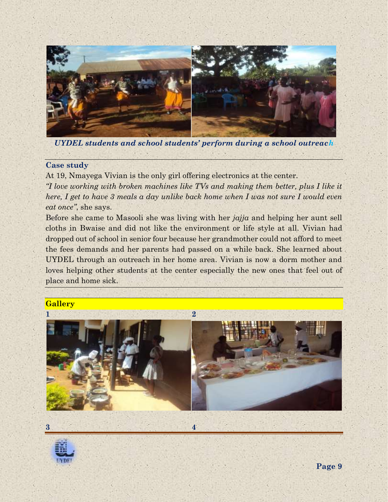

*UYDEL students and school students' perform during a school outreach*

#### **Case study**

At 19, Nmayega Vivian is the only girl offering electronics at the center. *"I love working with broken machines like TVs and making them better, plus I like it here, I get to have 3 meals a day unlike back home when I was not sure I would even eat once"*, she says.

Before she came to Masooli she was living with her *jajja* and helping her aunt sell cloths in Bwaise and did not like the environment or life style at all. Vivian had dropped out of school in senior four because her grandmother could not afford to meet the fees demands and her parents had passed on a while back. She learned about UYDEL through an outreach in her home area. Vivian is now a dorm mother and loves helping other students at the center especially the new ones that feel out of place and home sick.

#### **Gallery**





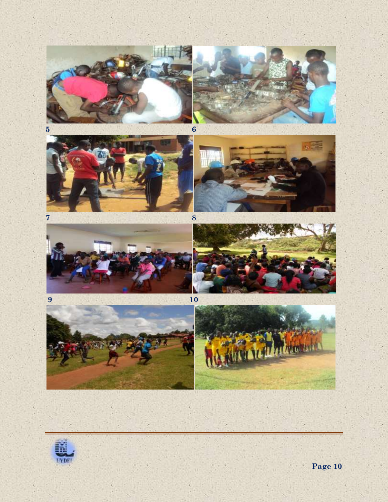



×